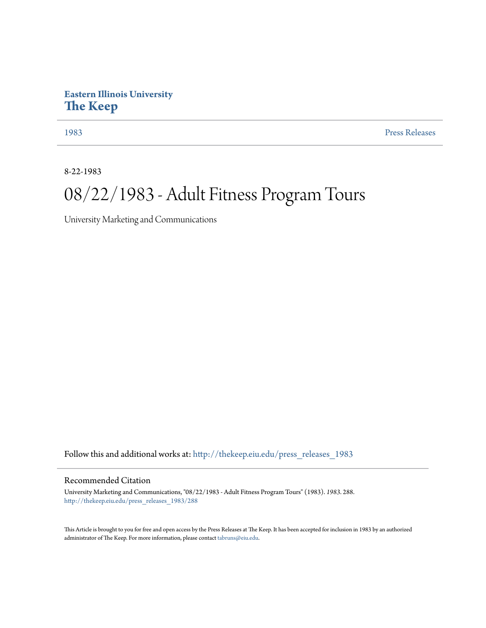## **Eastern Illinois University [The Keep](http://thekeep.eiu.edu?utm_source=thekeep.eiu.edu%2Fpress_releases_1983%2F288&utm_medium=PDF&utm_campaign=PDFCoverPages)**

[1983](http://thekeep.eiu.edu/press_releases_1983?utm_source=thekeep.eiu.edu%2Fpress_releases_1983%2F288&utm_medium=PDF&utm_campaign=PDFCoverPages) [Press Releases](http://thekeep.eiu.edu/press_releases_collection?utm_source=thekeep.eiu.edu%2Fpress_releases_1983%2F288&utm_medium=PDF&utm_campaign=PDFCoverPages)

8-22-1983

## 08/22/1983 - Adult Fitness Program Tours

University Marketing and Communications

Follow this and additional works at: [http://thekeep.eiu.edu/press\\_releases\\_1983](http://thekeep.eiu.edu/press_releases_1983?utm_source=thekeep.eiu.edu%2Fpress_releases_1983%2F288&utm_medium=PDF&utm_campaign=PDFCoverPages)

## Recommended Citation

University Marketing and Communications, "08/22/1983 - Adult Fitness Program Tours" (1983). *1983*. 288. [http://thekeep.eiu.edu/press\\_releases\\_1983/288](http://thekeep.eiu.edu/press_releases_1983/288?utm_source=thekeep.eiu.edu%2Fpress_releases_1983%2F288&utm_medium=PDF&utm_campaign=PDFCoverPages)

This Article is brought to you for free and open access by the Press Releases at The Keep. It has been accepted for inclusion in 1983 by an authorized administrator of The Keep. For more information, please contact [tabruns@eiu.edu.](mailto:tabruns@eiu.edu)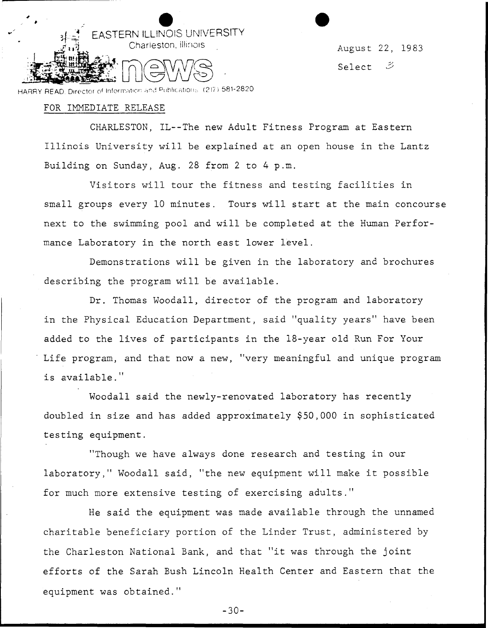

August 22, 1983 Select  $\mathcal{Z}$ 

HARRY READ. Director of Information and Publications (217) 581-2820

## FOR IMMEDIATE RELEASE

CHARLESTON, IL--The new Adult Fitness Program at Eastern Illinois University will be explained at an open house in the Lantz Building on Sunday, Aug. 28 from 2 to 4 p.m.

Visitors will tour the fitness and testing facilities in small groups every 10 minutes. Tours will start at the main concourse next to the swimming pool and will be completed at the Human Performance Laboratory in the north east lower level.

Demonstrations will be given in the laboratory and brochures describing the program will be available.

Dr. Thomas Woodall, director of the program and laboratory in the Physical Education Department, said "quality years" have been added to the lives of participants in the 18-year old Run For Your Life program, and that now a new, "very meaningful and unique program is available."

Woodall said the newly-renovated laboratory has recently doubled in size and has added approximately \$50,000 in sophisticated testing equipment.

"Though we have always done research and testing in our laboratory," Woodall said, "the new equipment will make it possible for much more extensive testing of exercising adults."

He said the equipment was made available through the unnamed charitable beneficiary portion of the Linder Trust, administered by the Charleston National Bank, and that "it was through the joint efforts of the Sarah Bush Lincoln Health Center and Eastern that the equipment was obtained."

-30-